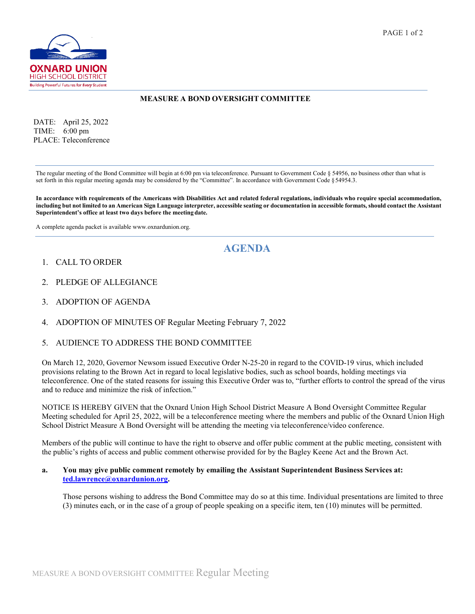

### **MEASURE A BOND OVERSIGHT COMMITTEE**

 DATE: April 25, 2022 TIME: 6:00 pm PLACE: Teleconference

The regular meeting of the Bond Committee will begin at 6:00 pm via teleconference. Pursuant to Government Code § 54956, no business other than what is set forth in this regular meeting agenda may be considered by the "Committee". In accordance with Government Code §54954.3.

In accordance with requirements of the Americans with Disabilities Act and related federal regulations, individuals who require special accommodation, **including but not limited to an American Sign Language interpreter, accessible seating or documentation in accessible formats, should contact the Assistant Superintendent's office at least two days before the meeting date.**

A complete agenda packet is available www.oxnardunion.org.

# **AGENDA**

- 1. CALL TO ORDER
- 2. PLEDGE OF ALLEGIANCE
- 3. ADOPTION OF AGENDA
- 4. ADOPTION OF MINUTES OF Regular Meeting February 7, 2022

#### 5. AUDIENCE TO ADDRESS THE BOND COMMITTEE

On March 12, 2020, Governor Newsom issued Executive Order N-25-20 in regard to the COVID-19 virus, which included provisions relating to the Brown Act in regard to local legislative bodies, such as school boards, holding meetings via teleconference. One of the stated reasons for issuing this Executive Order was to, "further efforts to control the spread of the virus and to reduce and minimize the risk of infection."

NOTICE IS HEREBY GIVEN that the Oxnard Union High School District Measure A Bond Oversight Committee Regular Meeting scheduled for April 25, 2022, will be a teleconference meeting where the members and public of the Oxnard Union High School District Measure A Bond Oversight will be attending the meeting via teleconference/video conference.

Members of the public will continue to have the right to observe and offer public comment at the public meeting, consistent with the public's rights of access and public comment otherwise provided for by the Bagley Keene Act and the Brown Act.

#### **a. You may give public comment remotely by emailing the Assistant Superintendent Business Services at: [ted.lawrence@oxnardunion.org.](mailto:ted.lawrence@oxnardunion.org)**

Those persons wishing to address the Bond Committee may do so at this time. Individual presentations are limited to three (3) minutes each, or in the case of a group of people speaking on a specific item, ten (10) minutes will be permitted.